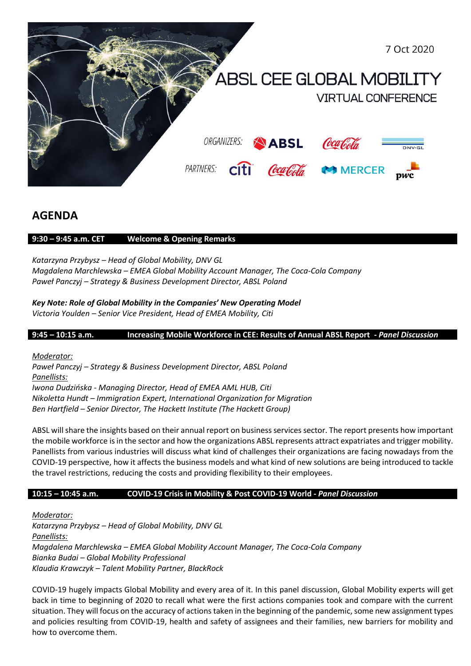

# **AGENDA**

## **9:30 – 9:45 a.m. CET Welcome & Opening Remarks**

*Katarzyna Przybysz – Head of Global Mobility, DNV GL Magdalena Marchlewska – EMEA Global Mobility Account Manager, The Coca-Cola Company Paweł Panczyj – Strategy & Business Development Director, ABSL Poland*

*Key Note: Role of Global Mobility in the Companies' New Operating Model Victoria Youlden – Senior Vice President, Head of EMEA Mobility, Citi*

**9:45 – 10:15 a.m. Increasing Mobile Workforce in CEE: Results of Annual ABSL Report -** *Panel Discussion*

*Moderator:* 

*Paweł Panczyj – Strategy & Business Development Director, ABSL Poland Panellists:* 

*Iwona Dudzińska - Managing Director, Head of EMEA AML HUB, Citi Nikoletta Hundt – Immigration Expert, International Organization for Migration Ben Hartfield – Senior Director, The Hackett Institute (The Hackett Group)*

ABSL will share the insights based on their annual report on business services sector. The report presents how important the mobile workforce is in the sector and how the organizations ABSL represents attract expatriates and trigger mobility. Panellists from various industries will discuss what kind of challenges their organizations are facing nowadays from the COVID-19 perspective, how it affects the business models and what kind of new solutions are being introduced to tackle the travel restrictions, reducing the costs and providing flexibility to their employees.

## **10:15 – 10:45 a.m. COVID-19 Crisis in Mobility & Post COVID-19 World -** *Panel Discussion*

*Moderator:* 

*Katarzyna Przybysz – Head of Global Mobility, DNV GL Panellists: Magdalena Marchlewska – EMEA Global Mobility Account Manager, The Coca-Cola Company Bianka Budai – Global Mobility Professional Klaudia Krawczyk – Talent Mobility Partner, BlackRock*

COVID-19 hugely impacts Global Mobility and every area of it. In this panel discussion, Global Mobility experts will get back in time to beginning of 2020 to recall what were the first actions companies took and compare with the current situation. They will focus on the accuracy of actions taken in the beginning of the pandemic, some new assignment types and policies resulting from COVID-19, health and safety of assignees and their families, new barriers for mobility and how to overcome them.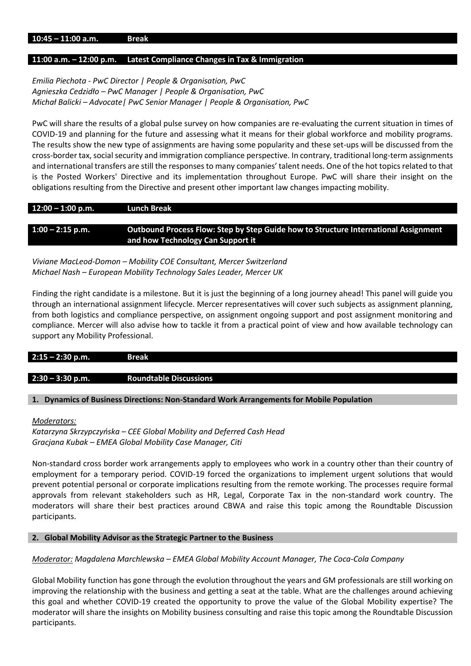#### **11:00 a.m. – 12:00 p.m. Latest Compliance Changes in Tax & Immigration**

### *Emilia Piechota - PwC Director | People & Organisation, PwC Agnieszka Cedzidło – PwC Manager | People & Organisation, PwC Michał Balicki – Advocate| PwC Senior Manager | People & Organisation, PwC*

PwC will share the results of a global pulse survey on how companies are re-evaluating the current situation in times of COVID-19 and planning for the future and assessing what it means for their global workforce and mobility programs. The results show the new type of assignments are having some popularity and these set-ups will be discussed from the cross-border tax, social security and immigration compliance perspective. In contrary, traditional long-term assignments and international transfers are still the responses to many companies' talent needs. One of the hot topics related to that is the Posted Workers' Directive and its implementation throughout Europe. PwC will share their insight on the obligations resulting from the Directive and present other important law changes impacting mobility.

| $12:00 - 1:00$ p.m. | <b>Lunch Break</b>                                                                  |
|---------------------|-------------------------------------------------------------------------------------|
|                     |                                                                                     |
| $1:00 - 2:15$ p.m.  | Outbound Process Flow: Step by Step Guide how to Structure International Assignment |
|                     | and how Technology Can Support it                                                   |

*Viviane MacLeod-Domon – Mobility COE Consultant, Mercer Switzerland Michael Nash – European Mobility Technology Sales Leader, Mercer UK*

Finding the right candidate is a milestone. But it is just the beginning of a long journey ahead! This panel will guide you through an international assignment lifecycle. Mercer representatives will cover such subjects as assignment planning, from both logistics and compliance perspective, on assignment ongoing support and post assignment monitoring and compliance. Mercer will also advise how to tackle it from a practical point of view and how available technology can support any Mobility Professional.

#### **2:15 – 2:30 p.m. Break**

### **2:30 – 3:30 p.m. Roundtable Discussions**

#### **1. Dynamics of Business Directions: Non-Standard Work Arrangements for Mobile Population**

#### *Moderators:*

*Katarzyna Skrzypczyńska – CEE Global Mobility and Deferred Cash Head Gracjana Kubak – EMEA Global Mobility Case Manager, Citi*

Non-standard cross border work arrangements apply to employees who work in a country other than their country of employment for a temporary period. COVID-19 forced the organizations to implement urgent solutions that would prevent potential personal or corporate implications resulting from the remote working. The processes require formal approvals from relevant stakeholders such as HR, Legal, Corporate Tax in the non-standard work country. The moderators will share their best practices around CBWA and raise this topic among the Roundtable Discussion participants.

#### **2. Global Mobility Advisor as the Strategic Partner to the Business**

### *Moderator: Magdalena Marchlewska – EMEA Global Mobility Account Manager, The Coca-Cola Company*

Global Mobility function has gone through the evolution throughout the years and GM professionals are still working on improving the relationship with the business and getting a seat at the table. What are the challenges around achieving this goal and whether COVID-19 created the opportunity to prove the value of the Global Mobility expertise? The moderator will share the insights on Mobility business consulting and raise this topic among the Roundtable Discussion participants.